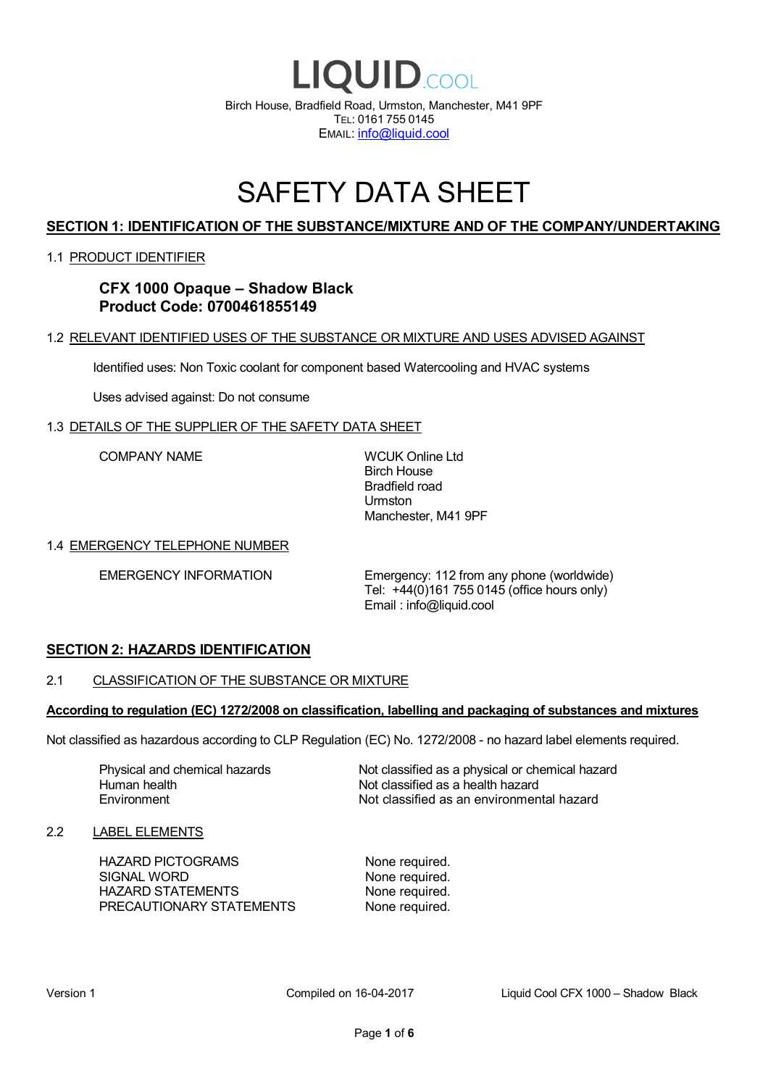

# SAFETY DATA SHEET

# **SECTION 1: IDENTIFICATION OF THE SUBSTANCE/MIXTURE AND OF THE COMPANY/UNDERTAKING**

#### 1.1 PRODUCT IDENTIFIER

**CFX 1000 Opaque – Shadow Black Product Code: 0700461855149**

#### 1.2 RELEVANT IDENTIFIED USES OF THE SUBSTANCE OR MIXTURE AND USES ADVISED AGAINST

Identified uses: Non Toxic coolant for component based Watercooling and HVAC systems

Uses advised against: Do not consume

#### 1.3 DETAILS OF THE SUPPLIER OF THE SAFETY DATA SHEET

COMPANY NAME WCUK Online Ltd

Birch House Bradfield road Urmston Manchester, M41 9PF

#### 1.4 EMERGENCY TELEPHONE NUMBER

EMERGENCY INFORMATION Emergency: 112 from any phone (worldwide) Tel: +44(0)161 755 0145 (office hours only) Email : info@liquid.cool

#### **SECTION 2: HAZARDS IDENTIFICATION**

#### 2.1 CLASSIFICATION OF THE SUBSTANCE OR MIXTURE

#### **According to regulation (EC) 1272/2008 on classification, labelling and packaging of substances and mixtures**

Not classified as hazardous according to CLP Regulation (EC) No. 1272/2008 - no hazard label elements required.

Human health **Environment** 

Physical and chemical hazards Not classified as a physical or chemical hazard Not classified as a health hazard Not classified as an environmental hazard

#### 2.2 LABEL ELEMENTS

HAZARD PICTOGRAMS None required. SIGNAL WORD None required. HAZARD STATEMENTS None required. PRECAUTIONARY STATEMENTS None required.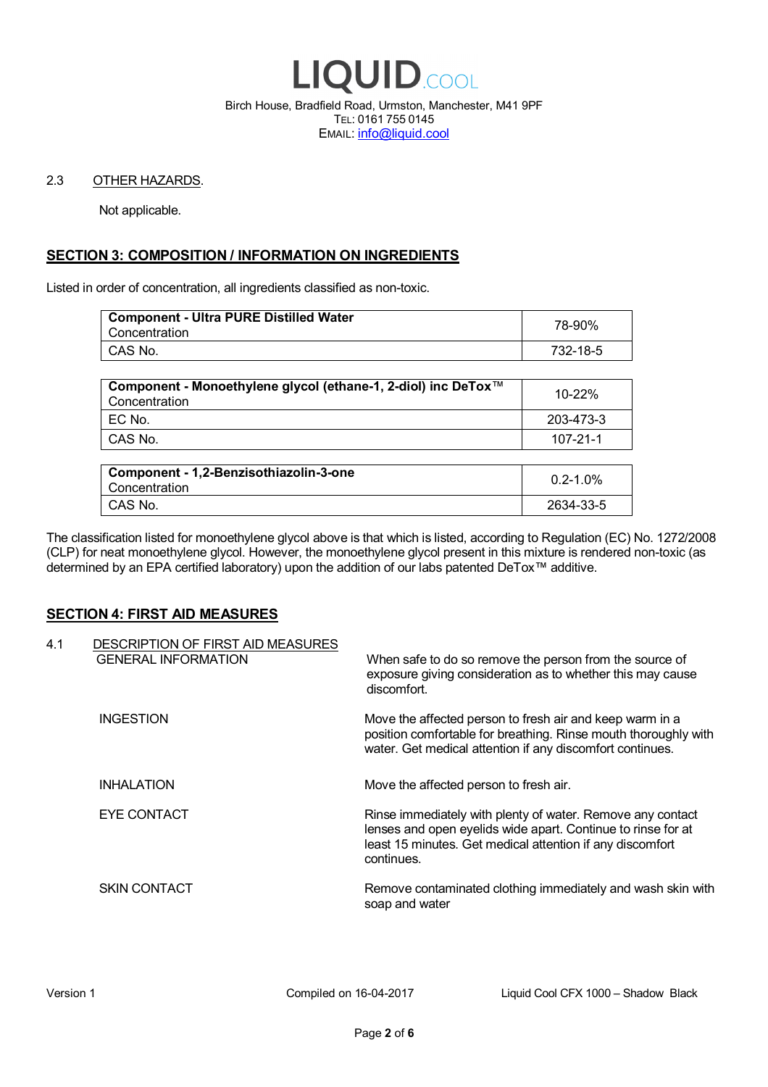

Birch House, Bradfield Road, Urmston, Manchester, M41 9PF TEL: 0161 755 0145 EMAIL: info@liquid.cool

#### 2.3 OTHER HAZARDS.

Not applicable.

# **SECTION 3: COMPOSITION / INFORMATION ON INGREDIENTS**

Listed in order of concentration, all ingredients classified as non-toxic.

| <b>Component - Ultra PURE Distilled Water</b><br>Concentration | 78-90%   |
|----------------------------------------------------------------|----------|
| CAS No.                                                        | 732-18-5 |
|                                                                |          |

| Component - Monoethylene glycol (ethane-1, 2-diol) inc DeTox™<br>Concentration | 10-22%    |
|--------------------------------------------------------------------------------|-----------|
| I EC No.                                                                       | 203-473-3 |
| CAS No.                                                                        | 107-21-1  |

| Component - 1,2-Benzisothiazolin-3-one<br>Concentration | $0.2 - 1.0\%$ |
|---------------------------------------------------------|---------------|
| CAS No.                                                 | 2634-33-5     |

The classification listed for monoethylene glycol above is that which is listed, according to Regulation (EC) No. 1272/2008 (CLP) for neat monoethylene glycol. However, the monoethylene glycol present in this mixture is rendered non-toxic (as determined by an EPA certified laboratory) upon the addition of our labs patented DeTox™ additive.

#### **SECTION 4: FIRST AID MEASURES**

| 4.1 | DESCRIPTION OF FIRST AID MEASURES<br><b>GENERAL INFORMATION</b> | When safe to do so remove the person from the source of<br>exposure giving consideration as to whether this may cause<br>discomfort.                                                                  |
|-----|-----------------------------------------------------------------|-------------------------------------------------------------------------------------------------------------------------------------------------------------------------------------------------------|
|     | <b>INGESTION</b>                                                | Move the affected person to fresh air and keep warm in a<br>position comfortable for breathing. Rinse mouth thoroughly with<br>water. Get medical attention if any discomfort continues.              |
|     | <b>INHALATION</b>                                               | Move the affected person to fresh air.                                                                                                                                                                |
|     | EYE CONTACT                                                     | Rinse immediately with plenty of water. Remove any contact<br>lenses and open eyelids wide apart. Continue to rinse for at<br>least 15 minutes. Get medical attention if any discomfort<br>continues. |
|     | <b>SKIN CONTACT</b>                                             | Remove contaminated clothing immediately and wash skin with<br>soap and water                                                                                                                         |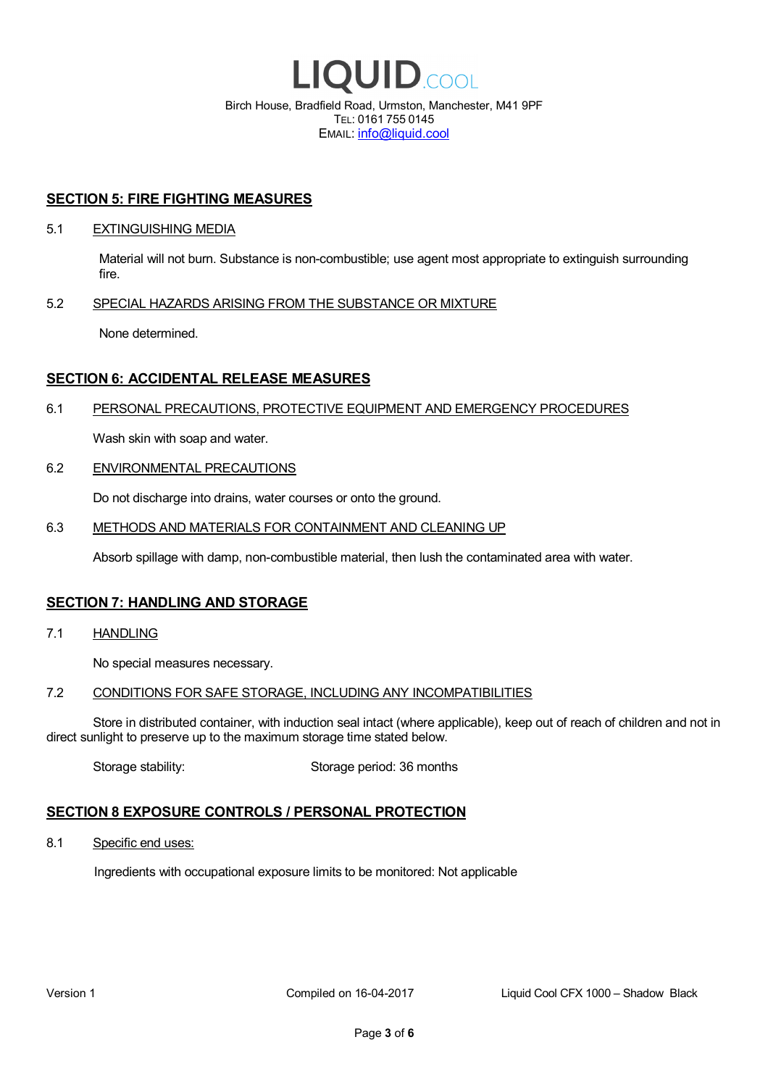

EMAIL: info@liquid.cool

#### **SECTION 5: FIRE FIGHTING MEASURES**

#### 5.1 EXTINGUISHING MEDIA

Material will not burn. Substance is non-combustible; use agent most appropriate to extinguish surrounding fire.

#### 5.2 SPECIAL HAZARDS ARISING FROM THE SUBSTANCE OR MIXTURE

None determined.

### **SECTION 6: ACCIDENTAL RELEASE MEASURES**

#### 6.1 PERSONAL PRECAUTIONS, PROTECTIVE EQUIPMENT AND EMERGENCY PROCEDURES

Wash skin with soap and water.

#### 6.2 ENVIRONMENTAL PRECAUTIONS

Do not discharge into drains, water courses or onto the ground.

#### 6.3 METHODS AND MATERIALS FOR CONTAINMENT AND CLEANING UP

Absorb spillage with damp, non-combustible material, then lush the contaminated area with water.

#### **SECTION 7: HANDLING AND STORAGE**

7.1 HANDLING

No special measures necessary.

#### 7.2 CONDITIONS FOR SAFE STORAGE, INCLUDING ANY INCOMPATIBILITIES

Store in distributed container, with induction seal intact (where applicable), keep out of reach of children and not in direct sunlight to preserve up to the maximum storage time stated below.

Storage stability: Storage period: 36 months

# **SECTION 8 EXPOSURE CONTROLS / PERSONAL PROTECTION**

8.1 Specific end uses:

Ingredients with occupational exposure limits to be monitored: Not applicable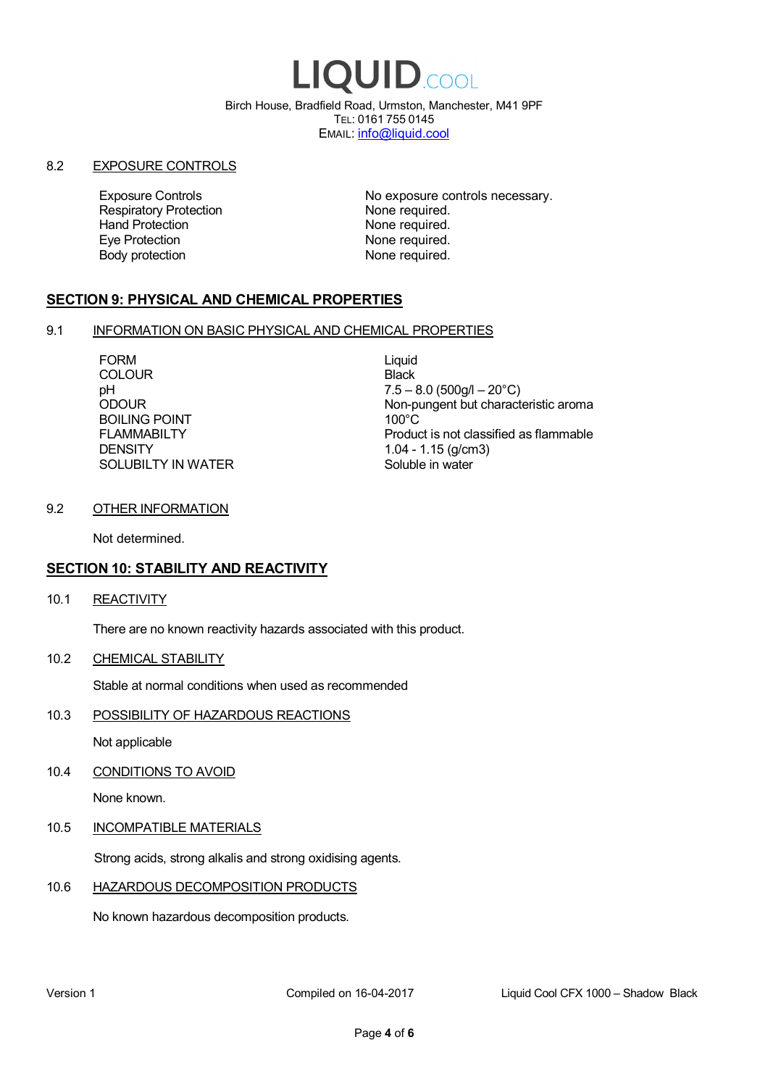# LIQUID.COOL

Birch House, Bradfield Road, Urmston, Manchester, M41 9PF TEL: 0161 755 0145 EMAIL: info@liquid.cool

#### 8.2 EXPOSURE CONTROLS

Respiratory Protection **None required.**<br>
Hand Protection **None required.** Eye Protection **None required.** Body protection None required.

Exposure Controls **Exposure Controls** No exposure controls necessary. None required.

# **SECTION 9: PHYSICAL AND CHEMICAL PROPERTIES**

#### 9.1 INFORMATION ON BASIC PHYSICAL AND CHEMICAL PROPERTIES

FORM Liquid **COLOUR** Black BOILING POINT FLAMMABILTY **DENSITY** SOLUBILTY IN WATER

pH<br>
DDOUR
20°C)
2000UR
2000UR
2000UR
2000UR Non-pungent but characteristic aroma 100°C Product is not classified as flammable 1.04 - 1.15 (g/cm3) Soluble in water

#### 9.2 OTHER INFORMATION

Not determined.

# **SECTION 10: STABILITY AND REACTIVITY**

10.1 REACTIVITY

There are no known reactivity hazards associated with this product.

10.2 CHEMICAL STABILITY

Stable at normal conditions when used as recommended

10.3 POSSIBILITY OF HAZARDOUS REACTIONS

Not applicable

10.4 CONDITIONS TO AVOID

None known.

#### 10.5 INCOMPATIBLE MATERIALS

Strong acids, strong alkalis and strong oxidising agents.

#### 10.6 HAZARDOUS DECOMPOSITION PRODUCTS

No known hazardous decomposition products.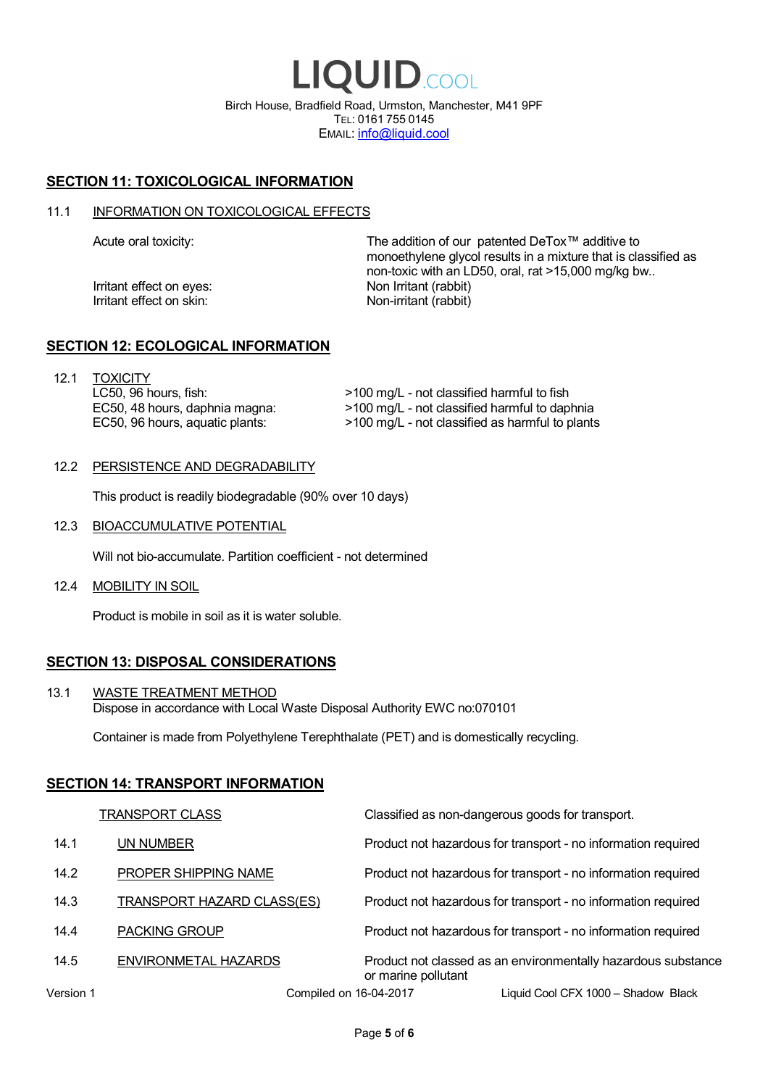LIQUID.COOL Birch House, Bradfield Road, Urmston, Manchester, M41 9PF TEL: 0161 755 0145 EMAIL: info@liquid.cool

# **SECTION 11: TOXICOLOGICAL INFORMATION**

#### 11.1 INFORMATION ON TOXICOLOGICAL EFFECTS

Irritant effect on eves: Non Irritant (rabbit) Irritant effect on skin: Non-irritant (rabbit)

Acute oral toxicity: The addition of our patented DeTox™ additive to monoethylene glycol results in a mixture that is classified as non-toxic with an LD50, oral, rat >15,000 mg/kg bw..

#### **SECTION 12: ECOLOGICAL INFORMATION**

12.1 TOXICITY LC50, 96 hours, fish: EC50, 48 hours, daphnia magna: EC50, 96 hours, aquatic plants:

>100 mg/L - not classified harmful to fish >100 mg/L - not classified harmful to daphnia >100 mg/L - not classified as harmful to plants

#### 12.2 PERSISTENCE AND DEGRADABILITY

This product is readily biodegradable (90% over 10 days)

12.3 BIOACCUMULATIVE POTENTIAL

Will not bio-accumulate. Partition coefficient - not determined

12.4 MOBILITY IN SOIL

Product is mobile in soil as it is water soluble.

# **SECTION 13: DISPOSAL CONSIDERATIONS**

13.1 WASTE TREATMENT METHOD Dispose in accordance with Local Waste Disposal Authority EWC no:070101

Container is made from Polyethylene Terephthalate (PET) and is domestically recycling.

#### **SECTION 14: TRANSPORT INFORMATION**

|           | <b>TRANSPORT CLASS</b>            | Classified as non-dangerous goods for transport.                                     |
|-----------|-----------------------------------|--------------------------------------------------------------------------------------|
| 14.1      | UN NUMBER                         | Product not hazardous for transport - no information required                        |
| 14.2      | PROPER SHIPPING NAME              | Product not hazardous for transport - no information required                        |
| 14.3      | <b>TRANSPORT HAZARD CLASS(ES)</b> | Product not hazardous for transport - no information required                        |
| 14.4      | <b>PACKING GROUP</b>              | Product not hazardous for transport - no information required                        |
| 14.5      | ENVIRONMETAL HAZARDS              | Product not classed as an environmentally hazardous substance<br>or marine pollutant |
| Version 1 | Compiled on 16-04-2017            | Liquid Cool CFX 1000 - Shadow Black                                                  |